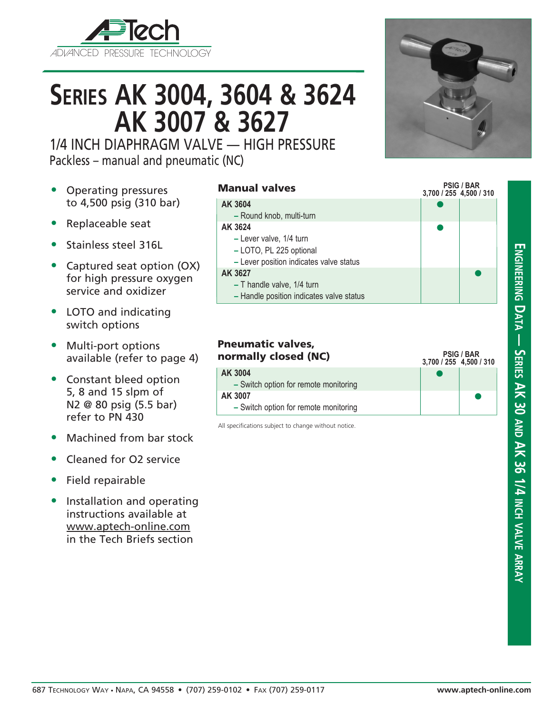

# **Series AK 3004, 3604 & 3624 AK 3007 & 3627**

1/4 INCH DIAPHRAGM VALVE — HIGH PRESSURE Packless – manual and pneumatic (NC)

- Operating pressures to 4,500 psig (310 bar)
- Replaceable seat
- Stainless steel 316L
- Captured seat option (OX) for high pressure oxygen service and oxidizer
- LOTO and indicating switch options
- Multi-port options available (refer to page 4)
- Constant bleed option 5, 8 and 15 slpm of N2 @ 80 psig (5.5 bar) refer to PN 430
- Machined from bar stock
- Cleaned for O2 service
- Field repairable
- Installation and operating instructions available at www.aptech-online.com in the Tech Briefs section



#### **3,700 / 255 4,500 / 310**  $\bullet$  $\bullet$  $\bullet$ **AK 3604 –** Round knob, multi-turn **AK 3624 –** Lever valve, 1/4 turn **–** LOTO, PL 225 optional **–** Lever position indicates valve status **AK 3627 –** T handle valve, 1/4 turn

**–** Handle position indicates valve status

|                                                  | 3,700 / 255 4,500 / 310 |
|--------------------------------------------------|-------------------------|
| AK 3004<br>- Switch option for remote monitoring |                         |
| AK 3007<br>- Switch option for remote monitoring | $\blacksquare$          |

All specifications subject to change without notice.



**PSIG / BAR**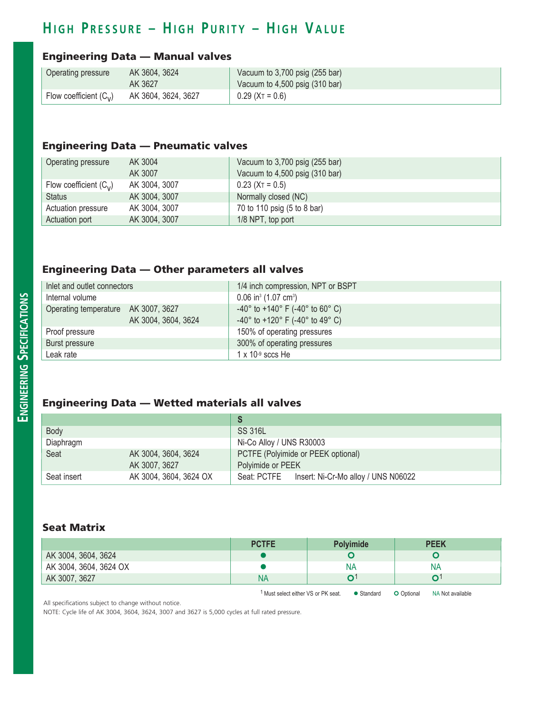## **H i g h P r e ss u r e – H i g h P u r i t y – H i g h V a l u e**

#### Engineering Data — Manual valves

| Operating pressure                   | AK 3604, 3624       | Vacuum to 3,700 psig (255 bar)             |
|--------------------------------------|---------------------|--------------------------------------------|
|                                      | AK 3627             | Vacuum to $4,500$ psig $(310 \text{ bar})$ |
| Flow coefficient $(C_{\mathcal{V}})$ | AK 3604, 3624, 3627 | $0.29$ (X <sub>T</sub> = 0.6)              |

#### Engineering Data — Pneumatic valves

| Operating pressure       | AK 3004       | Vacuum to 3,700 psig (255 bar) |
|--------------------------|---------------|--------------------------------|
|                          | AK 3007       | Vacuum to 4,500 psig (310 bar) |
| Flow coefficient $(C_v)$ | AK 3004, 3007 | $0.23$ (X <sub>T</sub> = 0.5)  |
| <b>Status</b>            | AK 3004, 3007 | Normally closed (NC)           |
| Actuation pressure       | AK 3004, 3007 | 70 to 110 psig (5 to 8 bar)    |
| Actuation port           | AK 3004, 3007 | 1/8 NPT, top port              |

#### Engineering Data — Other parameters all valves

| Inlet and outlet connectors         |                     | 1/4 inch compression, NPT or BSPT                                    |
|-------------------------------------|---------------------|----------------------------------------------------------------------|
| Internal volume                     |                     | $0.06$ in <sup>3</sup> (1.07 cm <sup>3</sup> )                       |
| Operating temperature AK 3007, 3627 |                     | $-40^{\circ}$ to $+140^{\circ}$ F ( $-40^{\circ}$ to 60° C)          |
|                                     | AK 3004, 3604, 3624 | $-40^{\circ}$ to $+120^{\circ}$ F ( $-40^{\circ}$ to $49^{\circ}$ C) |
| Proof pressure                      |                     | 150% of operating pressures                                          |
| Burst pressure                      |                     | 300% of operating pressures                                          |
| Leak rate                           |                     | $1 \times 10^{-9}$ sccs He                                           |

### Engineering Data — Wetted materials all valves

|             |                        | S                                               |  |  |
|-------------|------------------------|-------------------------------------------------|--|--|
| Body        |                        | SS 316L                                         |  |  |
| Diaphragm   |                        | Ni-Co Alloy / UNS R30003                        |  |  |
| Seat        | AK 3004, 3604, 3624    | PCTFE (Polyimide or PEEK optional)              |  |  |
|             | AK 3007, 3627          | Polyimide or PEEK                               |  |  |
| Seat insert | AK 3004, 3604, 3624 OX | Seat: PCTFE Insert: Ni-Cr-Mo alloy / UNS N06022 |  |  |

#### Seat Matrix

| N۶ | NA |
|----|----|
|    |    |
|    |    |

1 Must select either VS or PK seat.  $\bullet$  Standard  $\bullet$  Optional NA Not available

All specifications subject to change without notice.

NOTE: Cycle life of AK 3004, 3604, 3624, 3007 and 3627 is 5,000 cycles at full rated pressure.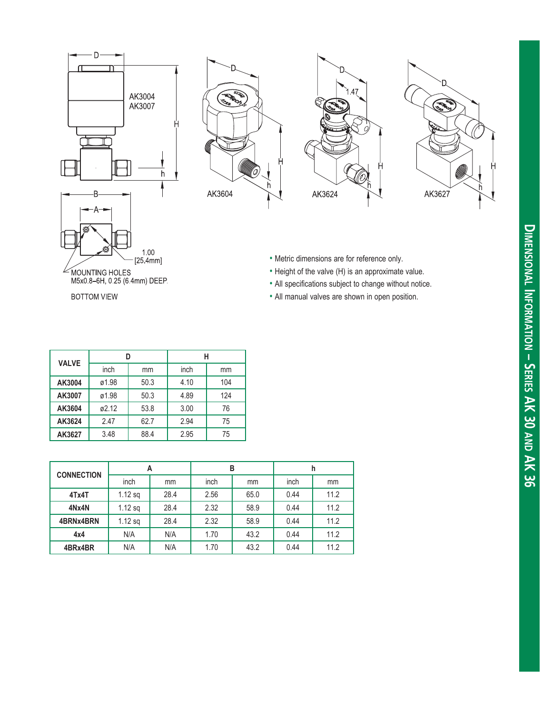







• Metric dimensions are for reference only.

- Height of the valve (H) is an approximate value.
- All specifications subject to change without notice.
- All manual valves are shown in open position.

| <b>VALVE</b> | D     |      | н    |     |
|--------------|-------|------|------|-----|
|              | inch  | mm   | inch | mm  |
| AK3004       | ø1.98 | 50.3 | 4.10 | 104 |
| AK3007       | ø1.98 | 50.3 | 4.89 | 124 |
| AK3604       | ø2.12 | 53.8 | 3.00 | 76  |
| AK3624       | 2.47  | 62.7 | 2.94 | 75  |
| AK3627       | 3.48  | 88.4 | 2.95 | 75  |

| <b>CONNECTION</b> | A         |      | в    |      | h    |      |
|-------------------|-----------|------|------|------|------|------|
|                   | inch      | mm   | inch | mm   | inch | mm   |
| 4Tx4T             | $1.12$ sq | 28.4 | 2.56 | 65.0 | 0.44 | 11.2 |
| 4Nx4N             | $1.12$ sq | 28.4 | 2.32 | 58.9 | 0.44 | 11.2 |
| 4BRNx4BRN         | $1.12$ sq | 28.4 | 2.32 | 58.9 | 0.44 | 11.2 |
| 4x4               | N/A       | N/A  | 1.70 | 43.2 | 0.44 | 11.2 |
| 4BRx4BR           | N/A       | N/A  | 1.70 | 43.2 | 0.44 | 11.2 |